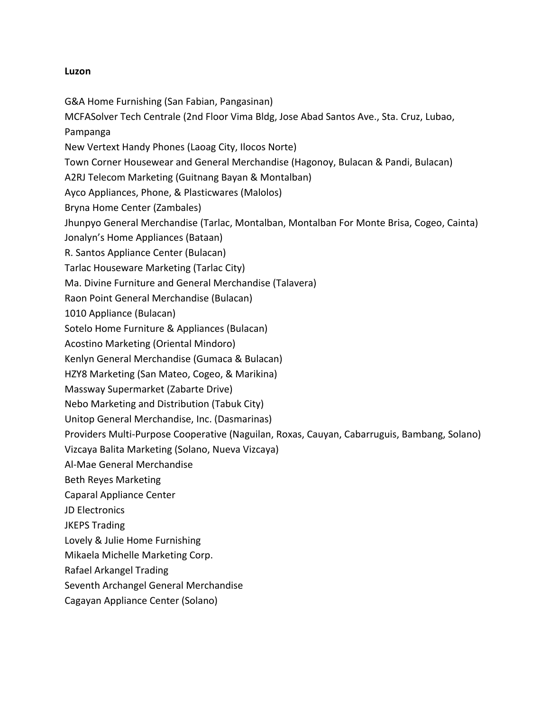# **Luzon**

G&A Home Furnishing (San Fabian, Pangasinan)

MCFASolver Tech Centrale (2nd Floor Vima Bldg, Jose Abad Santos Ave., Sta. Cruz, Lubao, Pampanga

New Vertext Handy Phones (Laoag City, Ilocos Norte)

Town Corner Housewear and General Merchandise (Hagonoy, Bulacan & Pandi, Bulacan)

A2RJ Telecom Marketing (Guitnang Bayan & Montalban)

Ayco Appliances, Phone, & Plasticwares (Malolos)

Bryna Home Center (Zambales)

Jhunpyo General Merchandise (Tarlac, Montalban, Montalban For Monte Brisa, Cogeo, Cainta)

Jonalyn's Home Appliances (Bataan)

R. Santos Appliance Center (Bulacan)

Tarlac Houseware Marketing (Tarlac City)

Ma. Divine Furniture and General Merchandise (Talavera)

Raon Point General Merchandise (Bulacan)

1010 Appliance (Bulacan)

Sotelo Home Furniture & Appliances (Bulacan)

Acostino Marketing (Oriental Mindoro)

Kenlyn General Merchandise (Gumaca & Bulacan)

HZY8 Marketing (San Mateo, Cogeo, & Marikina)

Massway Supermarket (Zabarte Drive)

Nebo Marketing and Distribution (Tabuk City)

Unitop General Merchandise, Inc. (Dasmarinas)

Providers Multi-Purpose Cooperative (Naguilan, Roxas, Cauyan, Cabarruguis, Bambang, Solano)

Vizcaya Balita Marketing (Solano, Nueva Vizcaya)

Al-Mae General Merchandise

Beth Reyes Marketing

Caparal Appliance Center

JD Electronics

JKEPS Trading

Lovely & Julie Home Furnishing

Mikaela Michelle Marketing Corp.

Rafael Arkangel Trading

Seventh Archangel General Merchandise

Cagayan Appliance Center (Solano)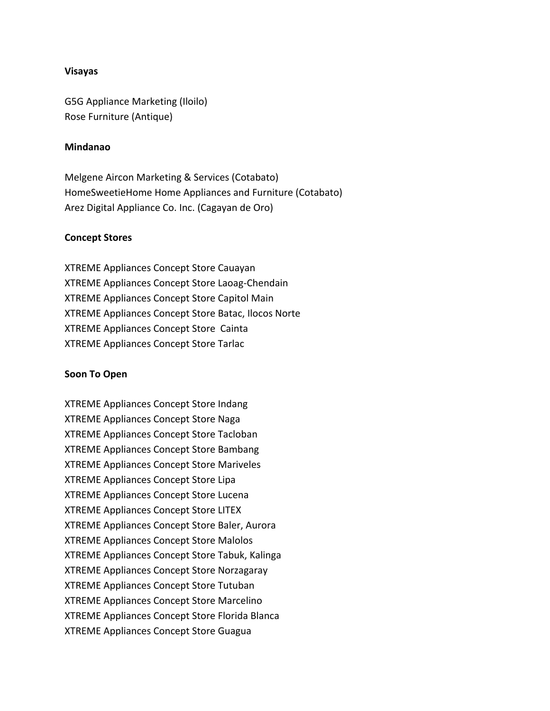## **Visayas**

G5G Appliance Marketing (Iloilo) Rose Furniture (Antique)

## **Mindanao**

Melgene Aircon Marketing & Services (Cotabato) HomeSweetieHome Home Appliances and Furniture (Cotabato) Arez Digital Appliance Co. Inc. (Cagayan de Oro)

#### **Concept Stores**

XTREME Appliances Concept Store Cauayan XTREME Appliances Concept Store Laoag-Chendain XTREME Appliances Concept Store Capitol Main XTREME Appliances Concept Store Batac, Ilocos Norte XTREME Appliances Concept Store Cainta XTREME Appliances Concept Store Tarlac

#### **Soon To Open**

XTREME Appliances Concept Store Indang XTREME Appliances Concept Store Naga XTREME Appliances Concept Store Tacloban XTREME Appliances Concept Store Bambang XTREME Appliances Concept Store Mariveles XTREME Appliances Concept Store Lipa XTREME Appliances Concept Store Lucena XTREME Appliances Concept Store LITEX XTREME Appliances Concept Store Baler, Aurora XTREME Appliances Concept Store Malolos XTREME Appliances Concept Store Tabuk, Kalinga XTREME Appliances Concept Store Norzagaray XTREME Appliances Concept Store Tutuban XTREME Appliances Concept Store Marcelino XTREME Appliances Concept Store Florida Blanca XTREME Appliances Concept Store Guagua